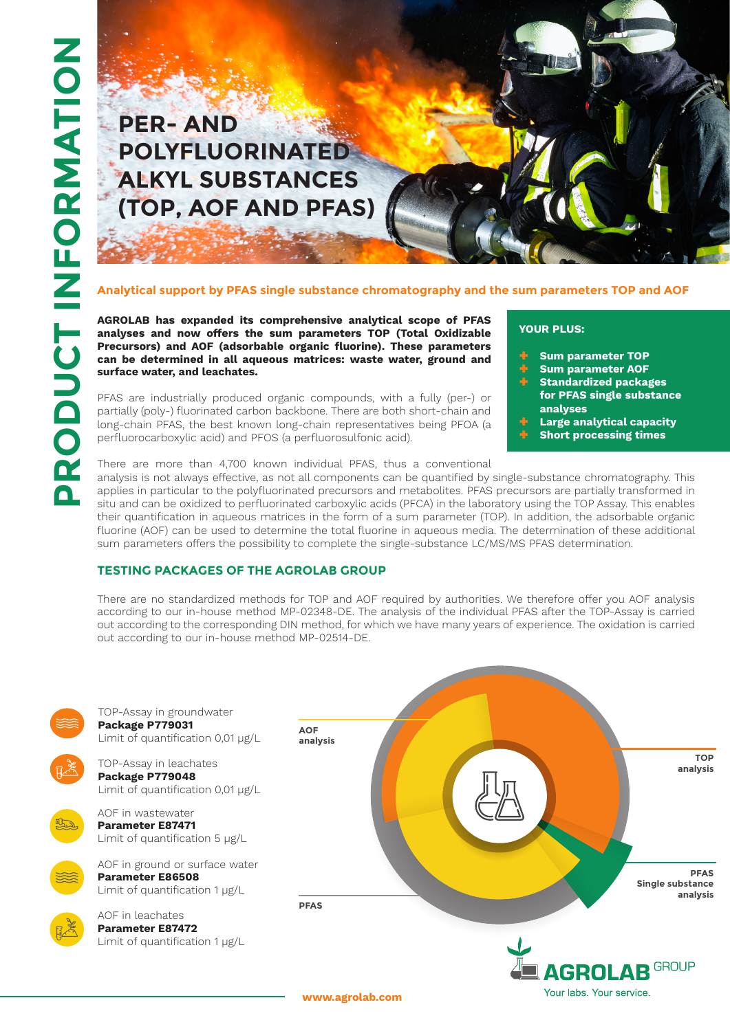# **PER- AND POLYFLUORINATED ALKYL SUBSTANCES (TOP, AOF AND PFAS)**

#### **Analytical support by PFAS single substance chromatography and the sum parameters TOP and AOF**

**AGROLAB has expanded its comprehensive analytical scope of PFAS analyses and now offers the sum parameters TOP (Total Oxidizable Precursors) and AOF (adsorbable organic fluorine). These parameters can be determined in all aqueous matrices: waste water, ground and surface water, and leachates.**

PFAS are industrially produced organic compounds, with a fully (per-) or partially (poly-) fluorinated carbon backbone. There are both short-chain and long-chain PFAS, the best known long-chain representatives being PFOA (a perfluorocarboxylic acid) and PFOS (a perfluorosulfonic acid).

#### **YOUR PLUS:**

- ® **Sum parameter TOP**
- ® **Sum parameter AOF**
- ® **Standardized packages for PFAS single substance analyses**
- ® **Large analytical capacity**
- **Short processing times**

There are more than 4,700 known individual PFAS, thus a conventional analysis is not always effective, as not all components can be quantified by single-substance chromatography. This applies in particular to the polyfluorinated precursors and metabolites. PFAS precursors are partially transformed in situ and can be oxidized to perfluorinated carboxylic acids (PFCA) in the laboratory using the TOP Assay. This enables their quantification in aqueous matrices in the form of a sum parameter (TOP). In addition, the adsorbable organic fluorine (AOF) can be used to determine the total fluorine in aqueous media. The determination of these additional sum parameters offers the possibility to complete the single-substance LC/MS/MS PFAS determination.

### **TESTING PACKAGES OF THE AGROLAB GROUP**

There are no standardized methods for TOP and AOF required by authorities. We therefore offer you AOF analysis according to our in-house method MP-02348-DE. The analysis of the individual PFAS after the TOP-Assay is carried out according to the corresponding DIN method, for which we have many years of experience. The oxidation is carried out according to our in-house method MP-02514-DE.